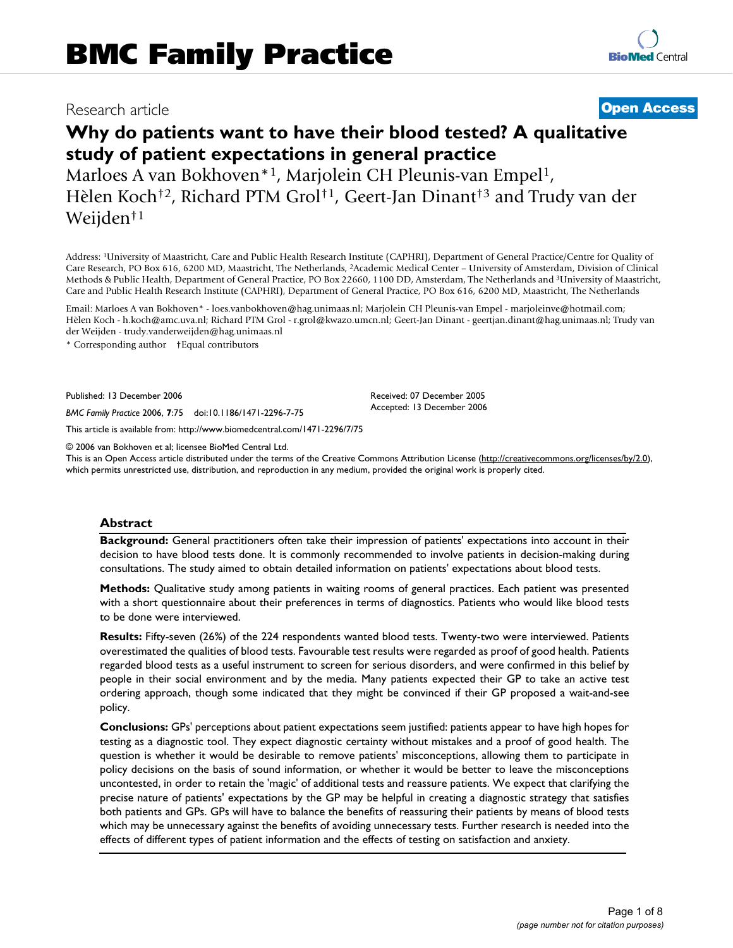# Research article **[Open Access](http://www.biomedcentral.com/info/about/charter/)**

# **Why do patients want to have their blood tested? A qualitative study of patient expectations in general practice**

Marloes A van Bokhoven<sup>\*1</sup>, Marjolein CH Pleunis-van Empel<sup>1</sup>, Hèlen Koch†2, Richard PTM Grol†1, Geert-Jan Dinant†3 and Trudy van der Weijden†1

Address: 1University of Maastricht, Care and Public Health Research Institute (CAPHRI), Department of General Practice/Centre for Quality of Care Research, PO Box 616, 6200 MD, Maastricht, The Netherlands, 2Academic Medical Center – University of Amsterdam, Division of Clinical Methods & Public Health, Department of General Practice, PO Box 22660, 1100 DD, Amsterdam, The Netherlands and 3University of Maastricht, Care and Public Health Research Institute (CAPHRI), Department of General Practice, PO Box 616, 6200 MD, Maastricht, The Netherlands

Email: Marloes A van Bokhoven\* - loes.vanbokhoven@hag.unimaas.nl; Marjolein CH Pleunis-van Empel - marjoleinve@hotmail.com; Hèlen Koch - h.koch@amc.uva.nl; Richard PTM Grol - r.grol@kwazo.umcn.nl; Geert-Jan Dinant - geertjan.dinant@hag.unimaas.nl; Trudy van der Weijden - trudy.vanderweijden@hag.unimaas.nl

\* Corresponding author †Equal contributors

Published: 13 December 2006

*BMC Family Practice* 2006, **7**:75 doi:10.1186/1471-2296-7-75

[This article is available from: http://www.biomedcentral.com/1471-2296/7/75](http://www.biomedcentral.com/1471-2296/7/75)

© 2006 van Bokhoven et al; licensee BioMed Central Ltd.

This is an Open Access article distributed under the terms of the Creative Commons Attribution License [\(http://creativecommons.org/licenses/by/2.0\)](http://creativecommons.org/licenses/by/2.0), which permits unrestricted use, distribution, and reproduction in any medium, provided the original work is properly cited.

Received: 07 December 2005 Accepted: 13 December 2006

#### **Abstract**

**Background:** General practitioners often take their impression of patients' expectations into account in their decision to have blood tests done. It is commonly recommended to involve patients in decision-making during consultations. The study aimed to obtain detailed information on patients' expectations about blood tests.

**Methods:** Qualitative study among patients in waiting rooms of general practices. Each patient was presented with a short questionnaire about their preferences in terms of diagnostics. Patients who would like blood tests to be done were interviewed.

**Results:** Fifty-seven (26%) of the 224 respondents wanted blood tests. Twenty-two were interviewed. Patients overestimated the qualities of blood tests. Favourable test results were regarded as proof of good health. Patients regarded blood tests as a useful instrument to screen for serious disorders, and were confirmed in this belief by people in their social environment and by the media. Many patients expected their GP to take an active test ordering approach, though some indicated that they might be convinced if their GP proposed a wait-and-see policy.

**Conclusions:** GPs' perceptions about patient expectations seem justified: patients appear to have high hopes for testing as a diagnostic tool. They expect diagnostic certainty without mistakes and a proof of good health. The question is whether it would be desirable to remove patients' misconceptions, allowing them to participate in policy decisions on the basis of sound information, or whether it would be better to leave the misconceptions uncontested, in order to retain the 'magic' of additional tests and reassure patients. We expect that clarifying the precise nature of patients' expectations by the GP may be helpful in creating a diagnostic strategy that satisfies both patients and GPs. GPs will have to balance the benefits of reassuring their patients by means of blood tests which may be unnecessary against the benefits of avoiding unnecessary tests. Further research is needed into the effects of different types of patient information and the effects of testing on satisfaction and anxiety.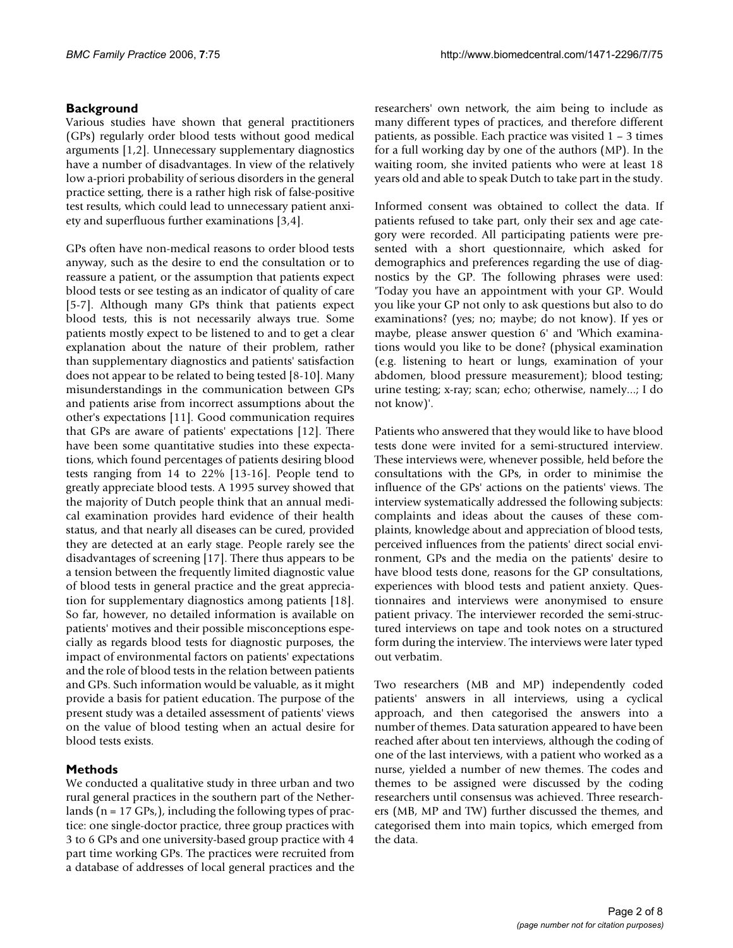# **Background**

Various studies have shown that general practitioners (GPs) regularly order blood tests without good medical arguments [1,2]. Unnecessary supplementary diagnostics have a number of disadvantages. In view of the relatively low a-priori probability of serious disorders in the general practice setting, there is a rather high risk of false-positive test results, which could lead to unnecessary patient anxiety and superfluous further examinations [3,4].

GPs often have non-medical reasons to order blood tests anyway, such as the desire to end the consultation or to reassure a patient, or the assumption that patients expect blood tests or see testing as an indicator of quality of care [5-7]. Although many GPs think that patients expect blood tests, this is not necessarily always true. Some patients mostly expect to be listened to and to get a clear explanation about the nature of their problem, rather than supplementary diagnostics and patients' satisfaction does not appear to be related to being tested [8-10]. Many misunderstandings in the communication between GPs and patients arise from incorrect assumptions about the other's expectations [11]. Good communication requires that GPs are aware of patients' expectations [12]. There have been some quantitative studies into these expectations, which found percentages of patients desiring blood tests ranging from 14 to 22% [13-16]. People tend to greatly appreciate blood tests. A 1995 survey showed that the majority of Dutch people think that an annual medical examination provides hard evidence of their health status, and that nearly all diseases can be cured, provided they are detected at an early stage. People rarely see the disadvantages of screening [17]. There thus appears to be a tension between the frequently limited diagnostic value of blood tests in general practice and the great appreciation for supplementary diagnostics among patients [18]. So far, however, no detailed information is available on patients' motives and their possible misconceptions especially as regards blood tests for diagnostic purposes, the impact of environmental factors on patients' expectations and the role of blood tests in the relation between patients and GPs. Such information would be valuable, as it might provide a basis for patient education. The purpose of the present study was a detailed assessment of patients' views on the value of blood testing when an actual desire for blood tests exists.

# **Methods**

We conducted a qualitative study in three urban and two rural general practices in the southern part of the Netherlands ( $n = 17$  GPs,), including the following types of practice: one single-doctor practice, three group practices with 3 to 6 GPs and one university-based group practice with 4 part time working GPs. The practices were recruited from a database of addresses of local general practices and the researchers' own network, the aim being to include as many different types of practices, and therefore different patients, as possible. Each practice was visited 1 – 3 times for a full working day by one of the authors (MP). In the waiting room, she invited patients who were at least 18 years old and able to speak Dutch to take part in the study.

Informed consent was obtained to collect the data. If patients refused to take part, only their sex and age category were recorded. All participating patients were presented with a short questionnaire, which asked for demographics and preferences regarding the use of diagnostics by the GP. The following phrases were used: 'Today you have an appointment with your GP. Would you like your GP not only to ask questions but also to do examinations? (yes; no; maybe; do not know). If yes or maybe, please answer question 6' and 'Which examinations would you like to be done? (physical examination (e.g. listening to heart or lungs, examination of your abdomen, blood pressure measurement); blood testing; urine testing; x-ray; scan; echo; otherwise, namely...; I do not know)'.

Patients who answered that they would like to have blood tests done were invited for a semi-structured interview. These interviews were, whenever possible, held before the consultations with the GPs, in order to minimise the influence of the GPs' actions on the patients' views. The interview systematically addressed the following subjects: complaints and ideas about the causes of these complaints, knowledge about and appreciation of blood tests, perceived influences from the patients' direct social environment, GPs and the media on the patients' desire to have blood tests done, reasons for the GP consultations, experiences with blood tests and patient anxiety. Questionnaires and interviews were anonymised to ensure patient privacy. The interviewer recorded the semi-structured interviews on tape and took notes on a structured form during the interview. The interviews were later typed out verbatim.

Two researchers (MB and MP) independently coded patients' answers in all interviews, using a cyclical approach, and then categorised the answers into a number of themes. Data saturation appeared to have been reached after about ten interviews, although the coding of one of the last interviews, with a patient who worked as a nurse, yielded a number of new themes. The codes and themes to be assigned were discussed by the coding researchers until consensus was achieved. Three researchers (MB, MP and TW) further discussed the themes, and categorised them into main topics, which emerged from the data.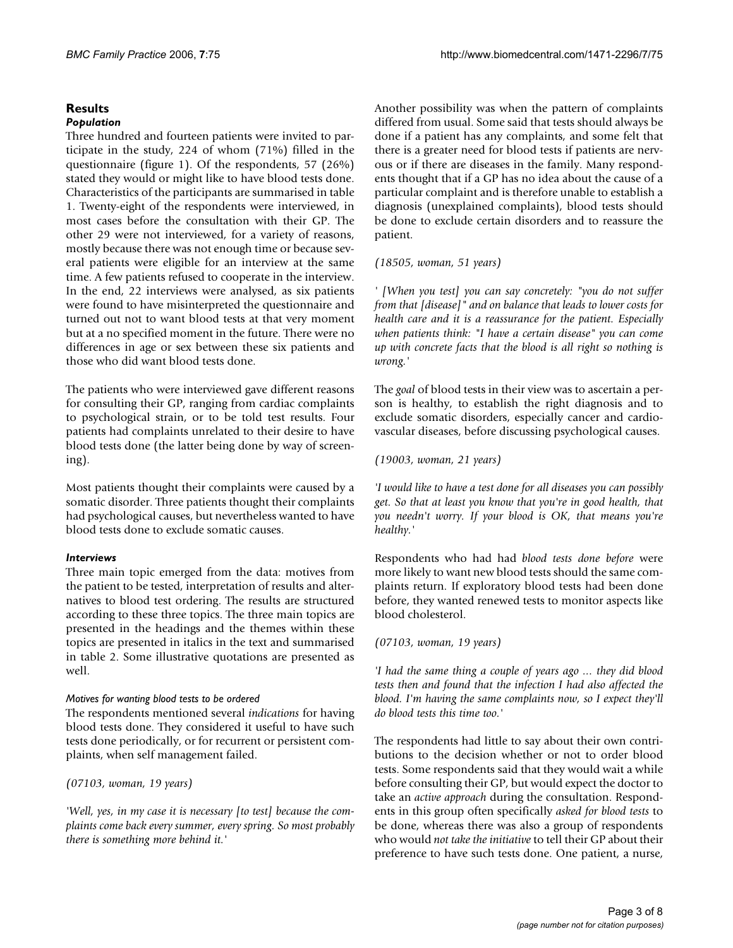#### **Results**

#### *Population*

Three hundred and fourteen patients were invited to participate in the study, 224 of whom (71%) filled in the questionnaire (figure 1). Of the respondents, 57 (26%) stated they would or might like to have blood tests done. Characteristics of the participants are summarised in table 1. Twenty-eight of the respondents were interviewed, in most cases before the consultation with their GP. The other 29 were not interviewed, for a variety of reasons, mostly because there was not enough time or because several patients were eligible for an interview at the same time. A few patients refused to cooperate in the interview. In the end, 22 interviews were analysed, as six patients were found to have misinterpreted the questionnaire and turned out not to want blood tests at that very moment but at a no specified moment in the future. There were no differences in age or sex between these six patients and those who did want blood tests done.

The patients who were interviewed gave different reasons for consulting their GP, ranging from cardiac complaints to psychological strain, or to be told test results. Four patients had complaints unrelated to their desire to have blood tests done (the latter being done by way of screening).

Most patients thought their complaints were caused by a somatic disorder. Three patients thought their complaints had psychological causes, but nevertheless wanted to have blood tests done to exclude somatic causes.

#### *Interviews*

Three main topic emerged from the data: motives from the patient to be tested, interpretation of results and alternatives to blood test ordering. The results are structured according to these three topics. The three main topics are presented in the headings and the themes within these topics are presented in italics in the text and summarised in table 2. Some illustrative quotations are presented as well.

#### *Motives for wanting blood tests to be ordered*

The respondents mentioned several *indications* for having blood tests done. They considered it useful to have such tests done periodically, or for recurrent or persistent complaints, when self management failed.

*(07103, woman, 19 years)*

*'Well, yes, in my case it is necessary [to test] because the complaints come back every summer, every spring. So most probably there is something more behind it.'*

Another possibility was when the pattern of complaints differed from usual. Some said that tests should always be done if a patient has any complaints, and some felt that there is a greater need for blood tests if patients are nervous or if there are diseases in the family. Many respondents thought that if a GP has no idea about the cause of a particular complaint and is therefore unable to establish a diagnosis (unexplained complaints), blood tests should be done to exclude certain disorders and to reassure the patient.

#### *(18505, woman, 51 years)*

*' [When you test] you can say concretely: "you do not suffer from that [disease]" and on balance that leads to lower costs for health care and it is a reassurance for the patient. Especially when patients think: "I have a certain disease" you can come up with concrete facts that the blood is all right so nothing is wrong.'*

The *goal* of blood tests in their view was to ascertain a person is healthy, to establish the right diagnosis and to exclude somatic disorders, especially cancer and cardiovascular diseases, before discussing psychological causes.

#### *(19003, woman, 21 years)*

*'I would like to have a test done for all diseases you can possibly get. So that at least you know that you're in good health, that you needn't worry. If your blood is OK, that means you're healthy.'*

Respondents who had had *blood tests done before* were more likely to want new blood tests should the same complaints return. If exploratory blood tests had been done before, they wanted renewed tests to monitor aspects like blood cholesterol.

### *(07103, woman, 19 years)*

*'I had the same thing a couple of years ago ... they did blood tests then and found that the infection I had also affected the blood. I'm having the same complaints now, so I expect they'll do blood tests this time too.'*

The respondents had little to say about their own contributions to the decision whether or not to order blood tests. Some respondents said that they would wait a while before consulting their GP, but would expect the doctor to take an *active approach* during the consultation. Respondents in this group often specifically *asked for blood tests* to be done, whereas there was also a group of respondents who would *not take the initiative* to tell their GP about their preference to have such tests done. One patient, a nurse,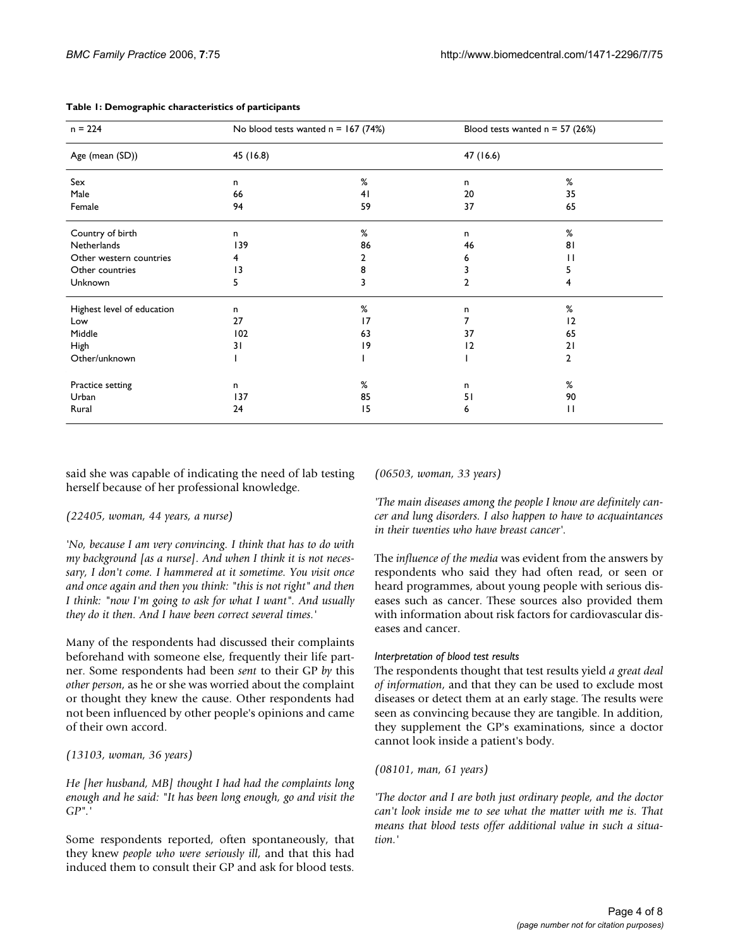| $n = 224$                  | No blood tests wanted $n = 167$ (74%) |    | Blood tests wanted $n = 57$ (26%) |                |
|----------------------------|---------------------------------------|----|-----------------------------------|----------------|
| Age (mean (SD))            | 45 (16.8)                             |    | 47 (16.6)                         |                |
| Sex                        | n                                     | %  | n                                 | $\%$           |
| Male                       | 66                                    | 41 | 20                                | 35             |
| Female                     | 94                                    | 59 | 37                                | 65             |
| Country of birth           | n                                     | %  | n                                 | %              |
| <b>Netherlands</b>         | 139                                   | 86 | 46                                | 81             |
| Other western countries    | 4                                     | 2  | 6                                 | Н              |
| Other countries            | $\overline{13}$                       | 8  | 3                                 |                |
| Unknown                    | 5                                     | 3  | $\overline{2}$                    | 4              |
| Highest level of education | n                                     | %  | n                                 | %              |
| Low                        | 27                                    | 17 |                                   | 12             |
| Middle                     | 102                                   | 63 | 37                                | 65             |
| High                       | 31                                    | 9  | 12                                | 21             |
| Other/unknown              |                                       |    |                                   | $\overline{2}$ |
| Practice setting           | n                                     | %  | n                                 | %              |
| Urban                      | 137                                   | 85 | 51                                | 90             |
| Rural                      | 24                                    | 15 | 6                                 | П              |

#### **Table 1: Demographic characteristics of participants**

said she was capable of indicating the need of lab testing herself because of her professional knowledge.

#### *(22405, woman, 44 years, a nurse)*

*'No, because I am very convincing. I think that has to do with my background [as a nurse]. And when I think it is not necessary, I don't come. I hammered at it sometime. You visit once and once again and then you think: "this is not right" and then I think: "now I'm going to ask for what I want". And usually they do it then. And I have been correct several times.'*

Many of the respondents had discussed their complaints beforehand with someone else, frequently their life partner. Some respondents had been *sent* to their GP *by* this *other person*, as he or she was worried about the complaint or thought they knew the cause. Other respondents had not been influenced by other people's opinions and came of their own accord.

### *(13103, woman, 36 years)*

*He [her husband, MB] thought I had had the complaints long enough and he said: "It has been long enough, go and visit the GP".'*

Some respondents reported, often spontaneously, that they knew *people who were seriously ill*, and that this had induced them to consult their GP and ask for blood tests.

#### *(06503, woman, 33 years)*

*'The main diseases among the people I know are definitely cancer and lung disorders. I also happen to have to acquaintances in their twenties who have breast cancer'*.

The *influence of the media* was evident from the answers by respondents who said they had often read, or seen or heard programmes, about young people with serious diseases such as cancer. These sources also provided them with information about risk factors for cardiovascular diseases and cancer.

#### *Interpretation of blood test results*

The respondents thought that test results yield *a great deal of information*, and that they can be used to exclude most diseases or detect them at an early stage. The results were seen as convincing because they are tangible. In addition, they supplement the GP's examinations, since a doctor cannot look inside a patient's body.

### *(08101, man, 61 years)*

*'The doctor and I are both just ordinary people, and the doctor can't look inside me to see what the matter with me is. That means that blood tests offer additional value in such a situation.'*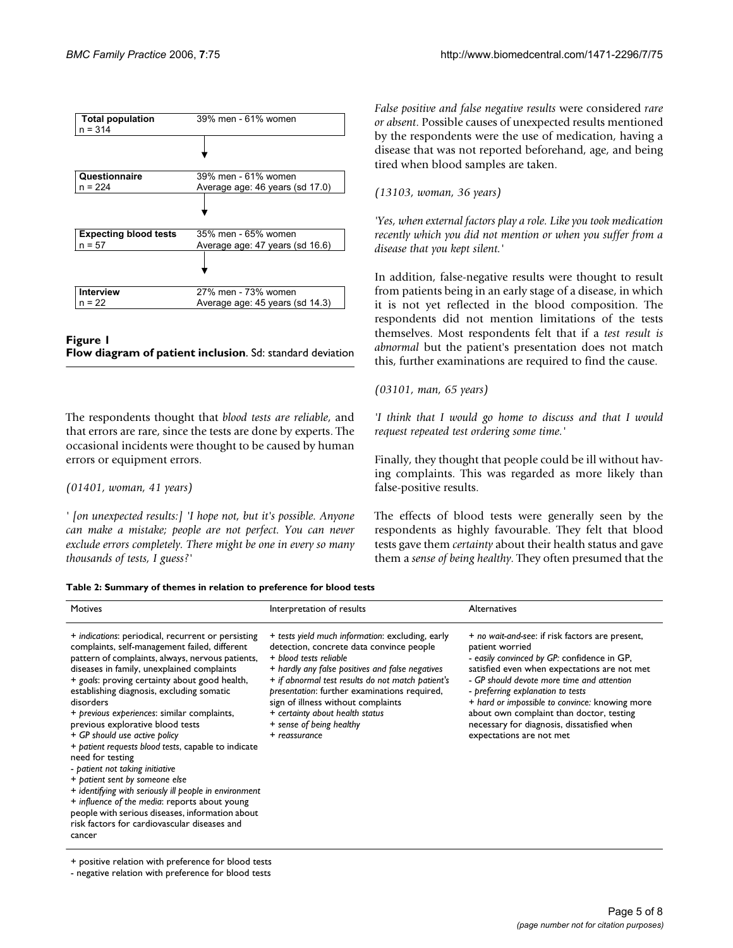

# Figure 1

**Flow diagram of patient inclusion**. Sd: standard deviation

The respondents thought that *blood tests are reliable*, and that errors are rare, since the tests are done by experts. The occasional incidents were thought to be caused by human errors or equipment errors.

### *(01401, woman, 41 years)*

*' [on unexpected results:] 'I hope not, but it's possible. Anyone can make a mistake; people are not perfect. You can never exclude errors completely. There might be one in every so many thousands of tests, I guess?'*

*False positive and false negative results* were considered *rare or absent*. Possible causes of unexpected results mentioned by the respondents were the use of medication, having a disease that was not reported beforehand, age, and being tired when blood samples are taken.

*(13103, woman, 36 years)*

*'Yes, when external factors play a role. Like you took medication recently which you did not mention or when you suffer from a disease that you kept silent.'*

In addition, false-negative results were thought to result from patients being in an early stage of a disease, in which it is not yet reflected in the blood composition. The respondents did not mention limitations of the tests themselves. Most respondents felt that if a *test result is abnormal* but the patient's presentation does not match this, further examinations are required to find the cause.

*(03101, man, 65 years)*

*'I think that I would go home to discuss and that I would request repeated test ordering some time.'*

Finally, they thought that people could be ill without having complaints. This was regarded as more likely than false-positive results.

The effects of blood tests were generally seen by the respondents as highly favourable. They felt that blood tests gave them *certainty* about their health status and gave them a *sense of being healthy*. They often presumed that the

#### **Table 2: Summary of themes in relation to preference for blood tests**

| <b>Motives</b>                                                                                                                                                                                                                                                                                                                                                                                                                                                                                                                                                                                                                                                                                                                                                                                               | Interpretation of results                                                                                                                                                                                                                                                                                                                                                                             | Alternatives                                                                                                                                                                                                                                                                                                                                                                                                                 |
|--------------------------------------------------------------------------------------------------------------------------------------------------------------------------------------------------------------------------------------------------------------------------------------------------------------------------------------------------------------------------------------------------------------------------------------------------------------------------------------------------------------------------------------------------------------------------------------------------------------------------------------------------------------------------------------------------------------------------------------------------------------------------------------------------------------|-------------------------------------------------------------------------------------------------------------------------------------------------------------------------------------------------------------------------------------------------------------------------------------------------------------------------------------------------------------------------------------------------------|------------------------------------------------------------------------------------------------------------------------------------------------------------------------------------------------------------------------------------------------------------------------------------------------------------------------------------------------------------------------------------------------------------------------------|
| + indications: periodical, recurrent or persisting<br>complaints, self-management failed, different<br>pattern of complaints, always, nervous patients,<br>diseases in family, unexplained complaints<br>+ goals: proving certainty about good health,<br>establishing diagnosis, excluding somatic<br>disorders<br>+ previous experiences: similar complaints,<br>previous explorative blood tests<br>+ GP should use active policy<br>+ patient requests blood tests, capable to indicate<br>need for testing<br>- patient not taking initiative<br>+ patient sent by someone else<br>+ identifying with seriously ill people in environment<br>+ influence of the media: reports about young<br>people with serious diseases, information about<br>risk factors for cardiovascular diseases and<br>cancer | + tests yield much information: excluding, early<br>detection, concrete data convince people<br>+ blood tests reliable<br>+ hardly any false positives and false negatives<br>+ if abnormal test results do not match patient's<br>presentation: further examinations required,<br>sign of illness without complaints<br>+ certainty about health status<br>+ sense of being healthy<br>+ reassurance | + no wait-and-see: if risk factors are present,<br>patient worried<br>- easily convinced by GP: confidence in GP,<br>satisfied even when expectations are not met<br>- GP should devote more time and attention<br>- preferring explanation to tests<br>+ hard or impossible to convince: knowing more<br>about own complaint than doctor, testing<br>necessary for diagnosis, dissatisfied when<br>expectations are not met |
|                                                                                                                                                                                                                                                                                                                                                                                                                                                                                                                                                                                                                                                                                                                                                                                                              |                                                                                                                                                                                                                                                                                                                                                                                                       |                                                                                                                                                                                                                                                                                                                                                                                                                              |

+ positive relation with preference for blood tests

- negative relation with preference for blood tests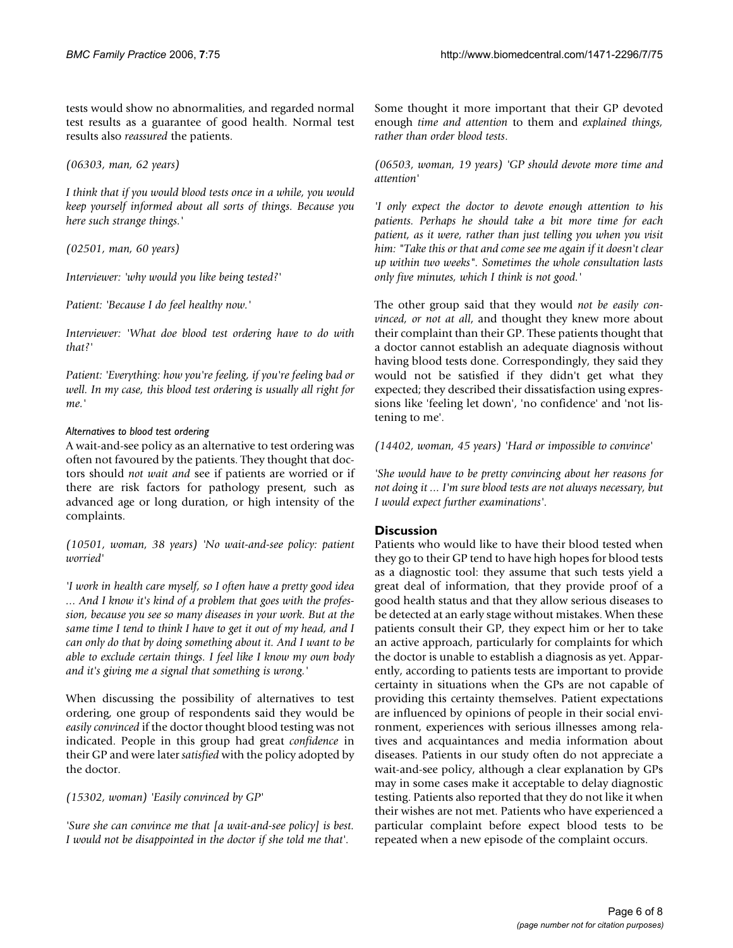tests would show no abnormalities, and regarded normal test results as a guarantee of good health. Normal test results also *reassured* the patients.

*(06303, man, 62 years)*

*I think that if you would blood tests once in a while, you would keep yourself informed about all sorts of things. Because you here such strange things.'*

*(02501, man, 60 years)*

*Interviewer: 'why would you like being tested?'*

*Patient: 'Because I do feel healthy now.'*

*Interviewer: 'What doe blood test ordering have to do with that?'*

*Patient: 'Everything: how you're feeling, if you're feeling bad or well. In my case, this blood test ordering is usually all right for me.'*

#### *Alternatives to blood test ordering*

A wait-and-see policy as an alternative to test ordering was often not favoured by the patients. They thought that doctors should *not wait and* see if patients are worried or if there are risk factors for pathology present, such as advanced age or long duration, or high intensity of the complaints.

*(10501, woman, 38 years) 'No wait-and-see policy: patient worried'*

*'I work in health care myself, so I often have a pretty good idea ... And I know it's kind of a problem that goes with the profession, because you see so many diseases in your work. But at the same time I tend to think I have to get it out of my head, and I can only do that by doing something about it. And I want to be able to exclude certain things. I feel like I know my own body and it's giving me a signal that something is wrong.'*

When discussing the possibility of alternatives to test ordering, one group of respondents said they would be *easily convinced* if the doctor thought blood testing was not indicated. People in this group had great *confidence* in their GP and were later *satisfied* with the policy adopted by the doctor.

*(15302, woman) 'Easily convinced by GP'*

*'Sure she can convince me that [a wait-and-see policy] is best. I would not be disappointed in the doctor if she told me that'*.

Some thought it more important that their GP devoted enough *time and attention* to them and *explained things, rather than order blood tests*.

*(06503, woman, 19 years) 'GP should devote more time and attention'*

*'I only expect the doctor to devote enough attention to his patients. Perhaps he should take a bit more time for each patient, as it were, rather than just telling you when you visit him: "Take this or that and come see me again if it doesn't clear up within two weeks". Sometimes the whole consultation lasts only five minutes, which I think is not good.'*

The other group said that they would *not be easily convinced, or not at all*, and thought they knew more about their complaint than their GP. These patients thought that a doctor cannot establish an adequate diagnosis without having blood tests done. Correspondingly, they said they would not be satisfied if they didn't get what they expected; they described their dissatisfaction using expressions like 'feeling let down', 'no confidence' and 'not listening to me'.

*(14402, woman, 45 years) 'Hard or impossible to convince'*

*'She would have to be pretty convincing about her reasons for not doing it ... I'm sure blood tests are not always necessary, but I would expect further examinations'*.

### **Discussion**

Patients who would like to have their blood tested when they go to their GP tend to have high hopes for blood tests as a diagnostic tool: they assume that such tests yield a great deal of information, that they provide proof of a good health status and that they allow serious diseases to be detected at an early stage without mistakes. When these patients consult their GP, they expect him or her to take an active approach, particularly for complaints for which the doctor is unable to establish a diagnosis as yet. Apparently, according to patients tests are important to provide certainty in situations when the GPs are not capable of providing this certainty themselves. Patient expectations are influenced by opinions of people in their social environment, experiences with serious illnesses among relatives and acquaintances and media information about diseases. Patients in our study often do not appreciate a wait-and-see policy, although a clear explanation by GPs may in some cases make it acceptable to delay diagnostic testing. Patients also reported that they do not like it when their wishes are not met. Patients who have experienced a particular complaint before expect blood tests to be repeated when a new episode of the complaint occurs.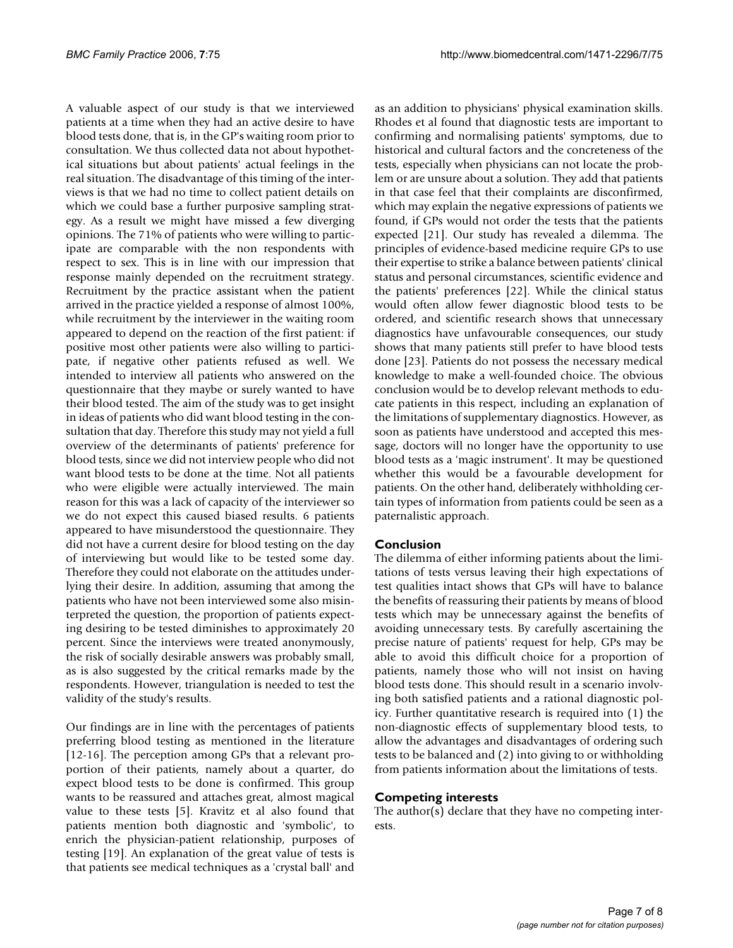A valuable aspect of our study is that we interviewed patients at a time when they had an active desire to have blood tests done, that is, in the GP's waiting room prior to consultation. We thus collected data not about hypothetical situations but about patients' actual feelings in the real situation. The disadvantage of this timing of the interviews is that we had no time to collect patient details on which we could base a further purposive sampling strategy. As a result we might have missed a few diverging opinions. The 71% of patients who were willing to participate are comparable with the non respondents with respect to sex. This is in line with our impression that response mainly depended on the recruitment strategy. Recruitment by the practice assistant when the patient arrived in the practice yielded a response of almost 100%, while recruitment by the interviewer in the waiting room appeared to depend on the reaction of the first patient: if positive most other patients were also willing to participate, if negative other patients refused as well. We intended to interview all patients who answered on the questionnaire that they maybe or surely wanted to have their blood tested. The aim of the study was to get insight in ideas of patients who did want blood testing in the consultation that day. Therefore this study may not yield a full overview of the determinants of patients' preference for blood tests, since we did not interview people who did not want blood tests to be done at the time. Not all patients who were eligible were actually interviewed. The main reason for this was a lack of capacity of the interviewer so we do not expect this caused biased results. 6 patients appeared to have misunderstood the questionnaire. They did not have a current desire for blood testing on the day of interviewing but would like to be tested some day. Therefore they could not elaborate on the attitudes underlying their desire. In addition, assuming that among the patients who have not been interviewed some also misinterpreted the question, the proportion of patients expecting desiring to be tested diminishes to approximately 20 percent. Since the interviews were treated anonymously, the risk of socially desirable answers was probably small, as is also suggested by the critical remarks made by the respondents. However, triangulation is needed to test the validity of the study's results.

Our findings are in line with the percentages of patients preferring blood testing as mentioned in the literature [12-16]. The perception among GPs that a relevant proportion of their patients, namely about a quarter, do expect blood tests to be done is confirmed. This group wants to be reassured and attaches great, almost magical value to these tests [5]. Kravitz et al also found that patients mention both diagnostic and 'symbolic', to enrich the physician-patient relationship, purposes of testing [19]. An explanation of the great value of tests is that patients see medical techniques as a 'crystal ball' and as an addition to physicians' physical examination skills. Rhodes et al found that diagnostic tests are important to confirming and normalising patients' symptoms, due to historical and cultural factors and the concreteness of the tests, especially when physicians can not locate the problem or are unsure about a solution. They add that patients in that case feel that their complaints are disconfirmed, which may explain the negative expressions of patients we found, if GPs would not order the tests that the patients expected [21]. Our study has revealed a dilemma. The principles of evidence-based medicine require GPs to use their expertise to strike a balance between patients' clinical status and personal circumstances, scientific evidence and the patients' preferences [22]. While the clinical status would often allow fewer diagnostic blood tests to be ordered, and scientific research shows that unnecessary diagnostics have unfavourable consequences, our study shows that many patients still prefer to have blood tests done [23]. Patients do not possess the necessary medical knowledge to make a well-founded choice. The obvious conclusion would be to develop relevant methods to educate patients in this respect, including an explanation of the limitations of supplementary diagnostics. However, as soon as patients have understood and accepted this message, doctors will no longer have the opportunity to use blood tests as a 'magic instrument'. It may be questioned whether this would be a favourable development for patients. On the other hand, deliberately withholding certain types of information from patients could be seen as a paternalistic approach.

### **Conclusion**

The dilemma of either informing patients about the limitations of tests versus leaving their high expectations of test qualities intact shows that GPs will have to balance the benefits of reassuring their patients by means of blood tests which may be unnecessary against the benefits of avoiding unnecessary tests. By carefully ascertaining the precise nature of patients' request for help, GPs may be able to avoid this difficult choice for a proportion of patients, namely those who will not insist on having blood tests done. This should result in a scenario involving both satisfied patients and a rational diagnostic policy. Further quantitative research is required into (1) the non-diagnostic effects of supplementary blood tests, to allow the advantages and disadvantages of ordering such tests to be balanced and (2) into giving to or withholding from patients information about the limitations of tests.

### **Competing interests**

The author(s) declare that they have no competing interests.